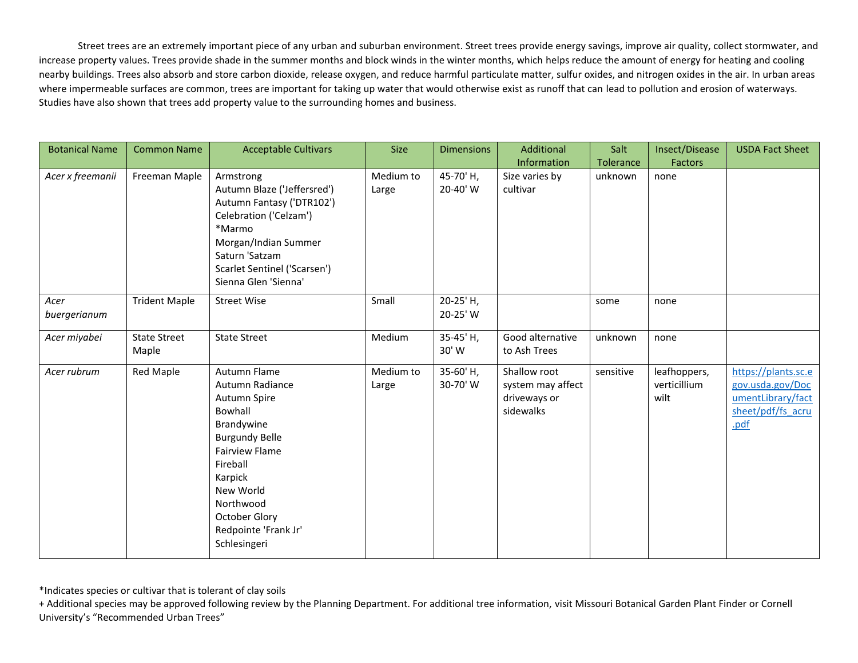Street trees are an extremely important piece of any urban and suburban environment. Street trees provide energy savings, improve air quality, collect stormwater, and increase property values. Trees provide shade in the summer months and block winds in the winter months, which helps reduce the amount of energy for heating and cooling nearby buildings. Trees also absorb and store carbon dioxide, release oxygen, and reduce harmful particulate matter, sulfur oxides, and nitrogen oxides in the air. In urban areas where impermeable surfaces are common, trees are important for taking up water that would otherwise exist as runoff that can lead to pollution and erosion of waterways. Studies have also shown that trees add property value to the surrounding homes and business.

| <b>Botanical Name</b> | <b>Common Name</b>           | <b>Acceptable Cultivars</b>                                                                                                                                                                                                          | <b>Size</b>        | <b>Dimensions</b>     | Additional                                                     | Salt      | Insect/Disease                       | <b>USDA Fact Sheet</b>                                                                    |
|-----------------------|------------------------------|--------------------------------------------------------------------------------------------------------------------------------------------------------------------------------------------------------------------------------------|--------------------|-----------------------|----------------------------------------------------------------|-----------|--------------------------------------|-------------------------------------------------------------------------------------------|
|                       |                              |                                                                                                                                                                                                                                      |                    |                       | Information                                                    | Tolerance | <b>Factors</b>                       |                                                                                           |
| Acer x freemanii      | Freeman Maple                | Armstrong<br>Autumn Blaze ('Jeffersred')<br>Autumn Fantasy ('DTR102')<br>Celebration ('Celzam')<br>*Marmo<br>Morgan/Indian Summer<br>Saturn 'Satzam<br>Scarlet Sentinel ('Scarsen')<br>Sienna Glen 'Sienna'                          | Medium to<br>Large | 45-70'H,<br>20-40' W  | Size varies by<br>cultivar                                     | unknown   | none                                 |                                                                                           |
| Acer<br>buergerianum  | <b>Trident Maple</b>         | <b>Street Wise</b>                                                                                                                                                                                                                   | Small              | 20-25' H,<br>20-25' W |                                                                | some      | none                                 |                                                                                           |
| Acer miyabei          | <b>State Street</b><br>Maple | <b>State Street</b>                                                                                                                                                                                                                  | Medium             | 35-45' H,<br>30' W    | Good alternative<br>to Ash Trees                               | unknown   | none                                 |                                                                                           |
| Acer rubrum           | Red Maple                    | Autumn Flame<br>Autumn Radiance<br>Autumn Spire<br>Bowhall<br>Brandywine<br><b>Burgundy Belle</b><br><b>Fairview Flame</b><br>Fireball<br>Karpick<br>New World<br>Northwood<br>October Glory<br>Redpointe 'Frank Jr'<br>Schlesingeri | Medium to<br>Large | 35-60'H,<br>30-70'W   | Shallow root<br>system may affect<br>driveways or<br>sidewalks | sensitive | leafhoppers,<br>verticillium<br>wilt | https://plants.sc.e<br>gov.usda.gov/Doc<br>umentLibrary/fact<br>sheet/pdf/fs acru<br>.pdf |

\*Indicates species or cultivar that is tolerant of clay soils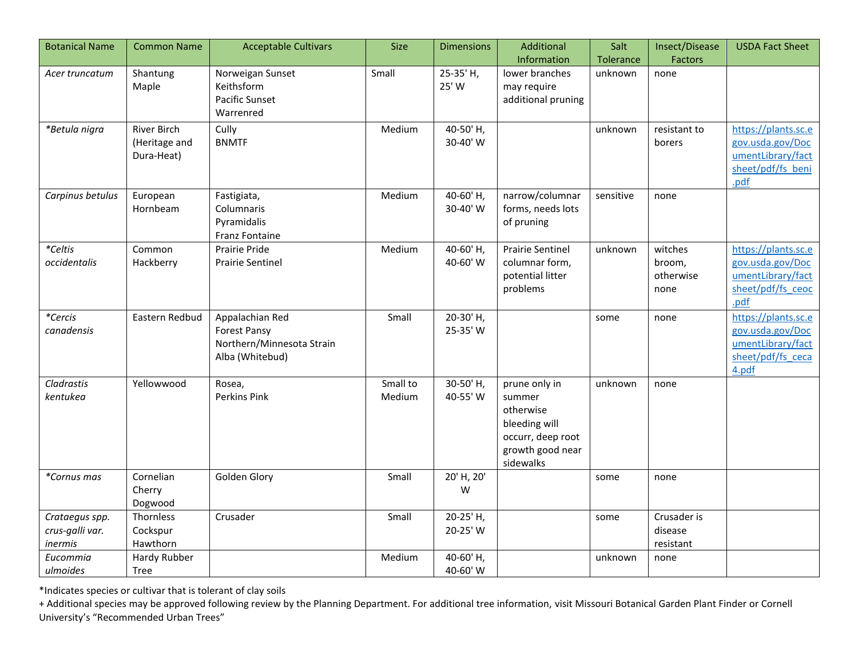| <b>Botanical Name</b>                        | <b>Common Name</b>                                | <b>Acceptable Cultivars</b>                                                            | <b>Size</b>        | <b>Dimensions</b>     | Additional                                                                                                  | Salt      | Insect/Disease                         | <b>USDA Fact Sheet</b>                                                                     |
|----------------------------------------------|---------------------------------------------------|----------------------------------------------------------------------------------------|--------------------|-----------------------|-------------------------------------------------------------------------------------------------------------|-----------|----------------------------------------|--------------------------------------------------------------------------------------------|
|                                              |                                                   |                                                                                        |                    |                       | Information                                                                                                 | Tolerance | <b>Factors</b>                         |                                                                                            |
| Acer truncatum                               | Shantung<br>Maple                                 | Norweigan Sunset<br>Keithsform<br>Pacific Sunset<br>Warrenred                          | Small              | 25-35' H,<br>25' W    | lower branches<br>may require<br>additional pruning                                                         | unknown   | none                                   |                                                                                            |
| *Betula nigra                                | <b>River Birch</b><br>(Heritage and<br>Dura-Heat) | Cully<br><b>BNMTF</b>                                                                  | Medium             | 40-50' H,<br>30-40' W |                                                                                                             | unknown   | resistant to<br>borers                 | https://plants.sc.e<br>gov.usda.gov/Doc<br>umentLibrary/fact<br>sheet/pdf/fs beni<br>.pdf  |
| Carpinus betulus                             | European<br>Hornbeam                              | Fastigiata,<br>Columnaris<br>Pyramidalis<br>Franz Fontaine                             | Medium             | 40-60' H,<br>30-40' W | narrow/columnar<br>forms, needs lots<br>of pruning                                                          | sensitive | none                                   |                                                                                            |
| *Celtis<br>occidentalis                      | Common<br>Hackberry                               | Prairie Pride<br><b>Prairie Sentinel</b>                                               | Medium             | 40-60'H,<br>40-60' W  | <b>Prairie Sentinel</b><br>columnar form,<br>potential litter<br>problems                                   | unknown   | witches<br>broom,<br>otherwise<br>none | https://plants.sc.e<br>gov.usda.gov/Doc<br>umentLibrary/fact<br>sheet/pdf/fs ceoc<br>.pdf  |
| *Cercis<br>canadensis                        | Eastern Redbud                                    | Appalachian Red<br><b>Forest Pansy</b><br>Northern/Minnesota Strain<br>Alba (Whitebud) | Small              | 20-30'H,<br>25-35' W  |                                                                                                             | some      | none                                   | https://plants.sc.e<br>gov.usda.gov/Doc<br>umentLibrary/fact<br>sheet/pdf/fs ceca<br>4.pdf |
| Cladrastis<br>kentukea                       | Yellowwood                                        | Rosea,<br><b>Perkins Pink</b>                                                          | Small to<br>Medium | 30-50'H,<br>40-55' W  | prune only in<br>summer<br>otherwise<br>bleeding will<br>occurr, deep root<br>growth good near<br>sidewalks | unknown   | none                                   |                                                                                            |
| *Cornus mas                                  | Cornelian<br>Cherry<br>Dogwood                    | Golden Glory                                                                           | Small              | 20' H, 20'<br>W       |                                                                                                             | some      | none                                   |                                                                                            |
| Crataegus spp.<br>crus-galli var.<br>inermis | Thornless<br>Cockspur<br>Hawthorn                 | Crusader                                                                               | Small              | 20-25' H,<br>20-25' W |                                                                                                             | some      | Crusader is<br>disease<br>resistant    |                                                                                            |
| Eucommia<br>ulmoides                         | Hardy Rubber<br>Tree                              |                                                                                        | Medium             | 40-60'H,<br>40-60' W  |                                                                                                             | unknown   | none                                   |                                                                                            |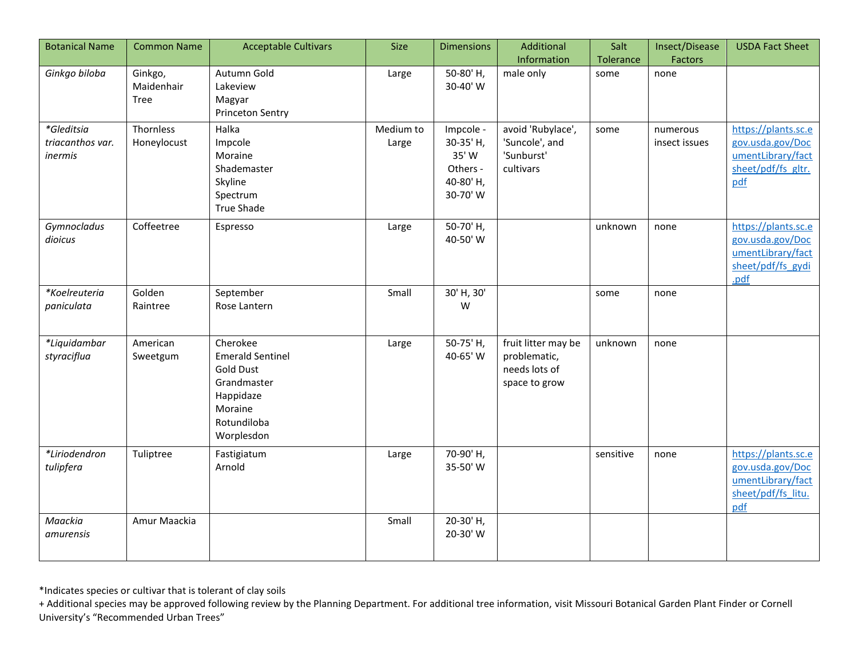| <b>Botanical Name</b>                     | <b>Common Name</b>            | <b>Acceptable Cultivars</b>                                                                                                 | <b>Size</b>        | <b>Dimensions</b>                                                   | Additional<br>Information                                             | Salt<br>Tolerance | Insect/Disease<br>Factors | <b>USDA Fact Sheet</b>                                                                    |
|-------------------------------------------|-------------------------------|-----------------------------------------------------------------------------------------------------------------------------|--------------------|---------------------------------------------------------------------|-----------------------------------------------------------------------|-------------------|---------------------------|-------------------------------------------------------------------------------------------|
| Ginkgo biloba                             | Ginkgo,<br>Maidenhair<br>Tree | Autumn Gold<br>Lakeview<br>Magyar<br>Princeton Sentry                                                                       | Large              | 50-80'H,<br>30-40' W                                                | male only                                                             | some              | none                      |                                                                                           |
| *Gleditsia<br>triacanthos var.<br>inermis | Thornless<br>Honeylocust      | Halka<br>Impcole<br>Moraine<br>Shademaster<br>Skyline<br>Spectrum<br><b>True Shade</b>                                      | Medium to<br>Large | Impcole -<br>30-35' H,<br>35' W<br>Others -<br>40-80'H,<br>30-70' W | avoid 'Rubylace',<br>'Suncole', and<br>'Sunburst'<br>cultivars        | some              | numerous<br>insect issues | https://plants.sc.e<br>gov.usda.gov/Doc<br>umentLibrary/fact<br>sheet/pdf/fs gltr.<br>pdf |
| Gymnocladus<br>dioicus                    | Coffeetree                    | Espresso                                                                                                                    | Large              | 50-70'H,<br>40-50' W                                                |                                                                       | unknown           | none                      | https://plants.sc.e<br>gov.usda.gov/Doc<br>umentLibrary/fact<br>sheet/pdf/fs gydi<br>.pdf |
| *Koelreuteria<br>paniculata               | Golden<br>Raintree            | September<br>Rose Lantern                                                                                                   | Small              | 30' H, 30'<br>W                                                     |                                                                       | some              | none                      |                                                                                           |
| *Liquidambar<br>styraciflua               | American<br>Sweetgum          | Cherokee<br><b>Emerald Sentinel</b><br><b>Gold Dust</b><br>Grandmaster<br>Happidaze<br>Moraine<br>Rotundiloba<br>Worplesdon | Large              | 50-75' H,<br>40-65' W                                               | fruit litter may be<br>problematic,<br>needs lots of<br>space to grow | unknown           | none                      |                                                                                           |
| *Liriodendron<br>tulipfera                | Tuliptree                     | Fastigiatum<br>Arnold                                                                                                       | Large              | 70-90'H,<br>35-50' W                                                |                                                                       | sensitive         | none                      | https://plants.sc.e<br>gov.usda.gov/Doc<br>umentLibrary/fact<br>sheet/pdf/fs litu.<br>pdf |
| Maackia<br>amurensis                      | Amur Maackia                  |                                                                                                                             | Small              | 20-30'H,<br>20-30' W                                                |                                                                       |                   |                           |                                                                                           |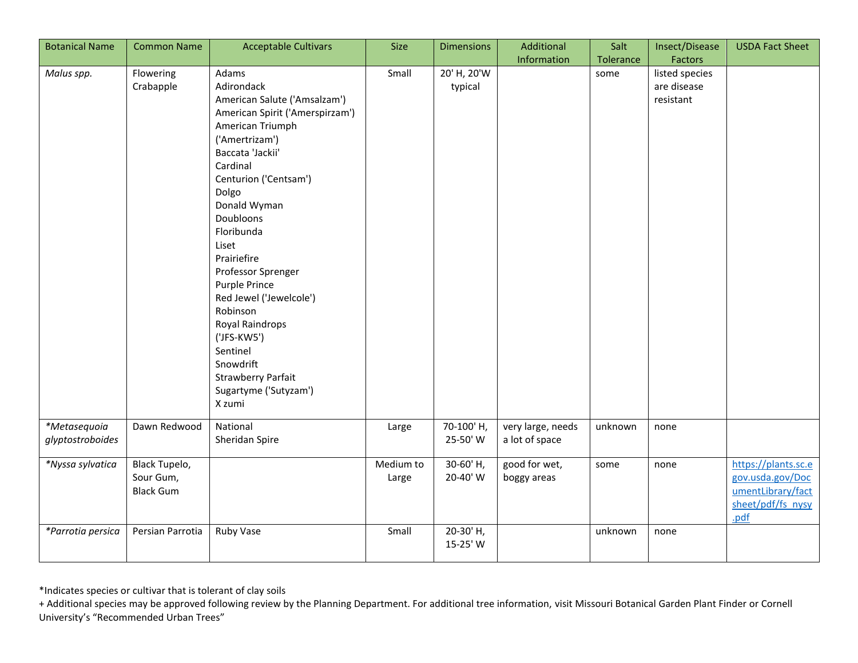| <b>Botanical Name</b>            | <b>Common Name</b>                             | <b>Acceptable Cultivars</b>                                                                                                                                                                                                                                                                                                                                                                                                                                                | <b>Size</b>        | <b>Dimensions</b>      | Additional                          | Salt      | Insect/Disease                             | <b>USDA Fact Sheet</b>                                                                    |
|----------------------------------|------------------------------------------------|----------------------------------------------------------------------------------------------------------------------------------------------------------------------------------------------------------------------------------------------------------------------------------------------------------------------------------------------------------------------------------------------------------------------------------------------------------------------------|--------------------|------------------------|-------------------------------------|-----------|--------------------------------------------|-------------------------------------------------------------------------------------------|
|                                  |                                                |                                                                                                                                                                                                                                                                                                                                                                                                                                                                            |                    |                        | Information                         | Tolerance | Factors                                    |                                                                                           |
| Malus spp.                       | Flowering<br>Crabapple                         | Adams<br>Adirondack<br>American Salute ('Amsalzam')<br>American Spirit ('Amerspirzam')<br>American Triumph<br>('Amertrizam')<br>Baccata 'Jackii'<br>Cardinal<br>Centurion ('Centsam')<br>Dolgo<br>Donald Wyman<br>Doubloons<br>Floribunda<br>Liset<br>Prairiefire<br>Professor Sprenger<br>Purple Prince<br>Red Jewel ('Jewelcole')<br>Robinson<br>Royal Raindrops<br>('JFS-KW5')<br>Sentinel<br>Snowdrift<br><b>Strawberry Parfait</b><br>Sugartyme ('Sutyzam')<br>X zumi | Small              | 20' H, 20'W<br>typical |                                     | some      | listed species<br>are disease<br>resistant |                                                                                           |
| *Metasequoia<br>glyptostroboides | Dawn Redwood                                   | National<br>Sheridan Spire                                                                                                                                                                                                                                                                                                                                                                                                                                                 | Large              | 70-100'H,<br>25-50' W  | very large, needs<br>a lot of space | unknown   | none                                       |                                                                                           |
| *Nyssa sylvatica                 | Black Tupelo,<br>Sour Gum,<br><b>Black Gum</b> |                                                                                                                                                                                                                                                                                                                                                                                                                                                                            | Medium to<br>Large | 30-60'H,<br>20-40' W   | good for wet,<br>boggy areas        | some      | none                                       | https://plants.sc.e<br>gov.usda.gov/Doc<br>umentLibrary/fact<br>sheet/pdf/fs nysy<br>.pdf |
| *Parrotia persica                | Persian Parrotia                               | Ruby Vase                                                                                                                                                                                                                                                                                                                                                                                                                                                                  | Small              | 20-30'H,<br>15-25' W   |                                     | unknown   | none                                       |                                                                                           |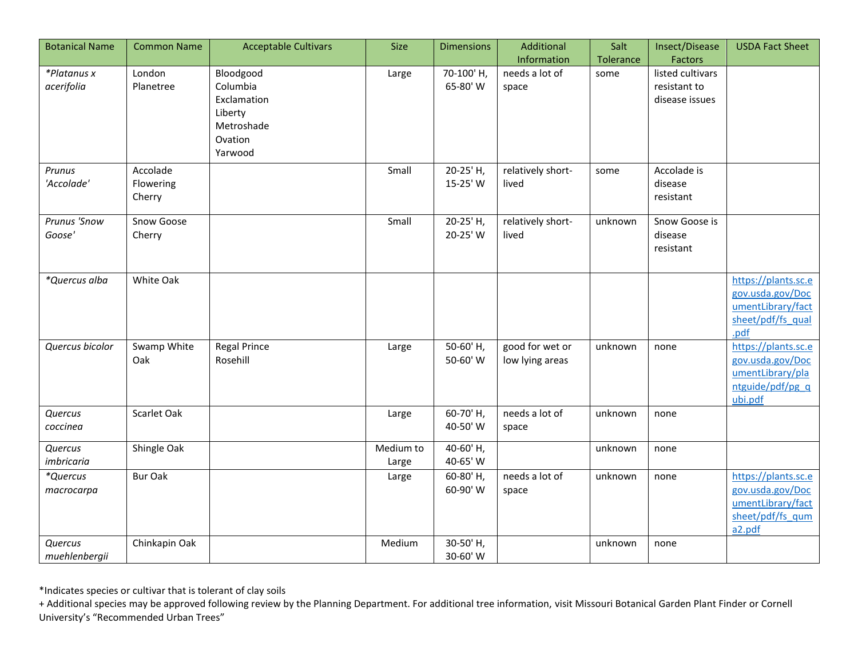| <b>Botanical Name</b>     | <b>Common Name</b>              | <b>Acceptable Cultivars</b>                                   | <b>Size</b>        | <b>Dimensions</b>     | Additional                         | Salt      | Insect/Disease                                     | <b>USDA Fact Sheet</b>                                                                     |
|---------------------------|---------------------------------|---------------------------------------------------------------|--------------------|-----------------------|------------------------------------|-----------|----------------------------------------------------|--------------------------------------------------------------------------------------------|
|                           |                                 |                                                               |                    |                       | Information                        | Tolerance | Factors                                            |                                                                                            |
| *Platanus x<br>acerifolia | London<br>Planetree             | Bloodgood<br>Columbia<br>Exclamation<br>Liberty<br>Metroshade | Large              | 70-100'H,<br>65-80' W | needs a lot of<br>space            | some      | listed cultivars<br>resistant to<br>disease issues |                                                                                            |
|                           |                                 | Ovation<br>Yarwood                                            |                    |                       |                                    |           |                                                    |                                                                                            |
| Prunus<br>'Accolade'      | Accolade<br>Flowering<br>Cherry |                                                               | Small              | 20-25' H,<br>15-25' W | relatively short-<br>lived         | some      | Accolade is<br>disease<br>resistant                |                                                                                            |
| Prunus 'Snow<br>Goose'    | Snow Goose<br>Cherry            |                                                               | Small              | 20-25' H,<br>20-25' W | relatively short-<br>lived         | unknown   | Snow Goose is<br>disease<br>resistant              |                                                                                            |
| *Quercus alba             | White Oak                       |                                                               |                    |                       |                                    |           |                                                    | https://plants.sc.e<br>gov.usda.gov/Doc<br>umentLibrary/fact<br>sheet/pdf/fs qual<br>.pdf  |
| Quercus bicolor           | Swamp White<br>Oak              | <b>Regal Prince</b><br>Rosehill                               | Large              | 50-60'H,<br>50-60' W  | good for wet or<br>low lying areas | unknown   | none                                               | https://plants.sc.e<br>gov.usda.gov/Doc<br>umentLibrary/pla<br>ntguide/pdf/pg q<br>ubi.pdf |
| Quercus<br>coccinea       | Scarlet Oak                     |                                                               | Large              | 60-70'H,<br>40-50' W  | needs a lot of<br>space            | unknown   | none                                               |                                                                                            |
| Quercus<br>imbricaria     | Shingle Oak                     |                                                               | Medium to<br>Large | 40-60' H,<br>40-65' W |                                    | unknown   | none                                               |                                                                                            |
| *Quercus<br>macrocarpa    | <b>Bur Oak</b>                  |                                                               | Large              | 60-80'H,<br>60-90' W  | needs a lot of<br>space            | unknown   | none                                               | https://plants.sc.e<br>gov.usda.gov/Doc<br>umentLibrary/fact<br>sheet/pdf/fs qum<br>a2.pdf |
| Quercus<br>muehlenbergii  | Chinkapin Oak                   |                                                               | Medium             | 30-50'H,<br>30-60' W  |                                    | unknown   | none                                               |                                                                                            |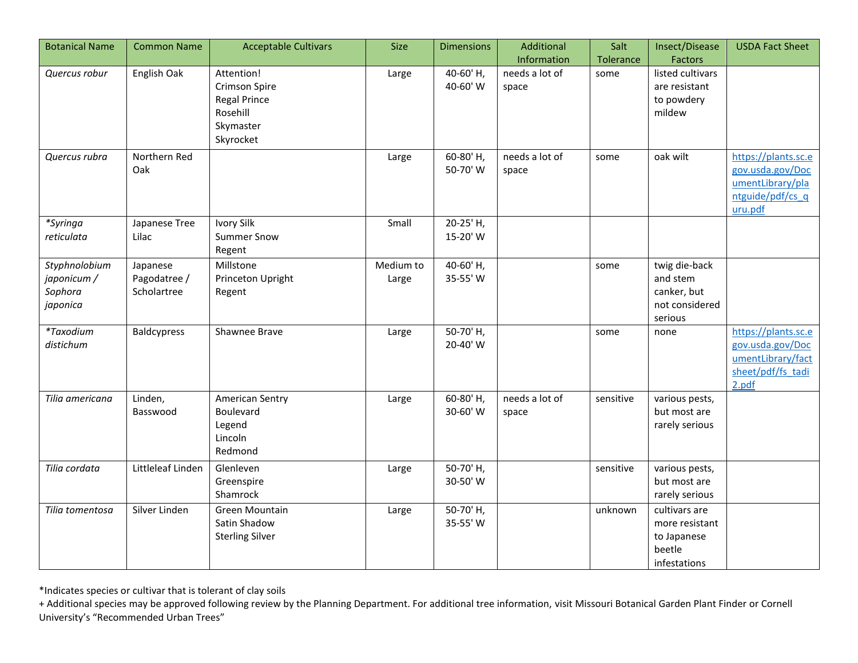| <b>Botanical Name</b> | <b>Common Name</b> | <b>Acceptable Cultivars</b> | <b>Size</b> | <b>Dimensions</b> | Additional     | Salt      | Insect/Disease   | <b>USDA Fact Sheet</b> |
|-----------------------|--------------------|-----------------------------|-------------|-------------------|----------------|-----------|------------------|------------------------|
|                       |                    |                             |             |                   | Information    | Tolerance | Factors          |                        |
| Quercus robur         | English Oak        | Attention!                  | Large       | 40-60'H,          | needs a lot of | some      | listed cultivars |                        |
|                       |                    | Crimson Spire               |             | 40-60' W          | space          |           | are resistant    |                        |
|                       |                    | <b>Regal Prince</b>         |             |                   |                |           | to powdery       |                        |
|                       |                    | Rosehill                    |             |                   |                |           | mildew           |                        |
|                       |                    | Skymaster                   |             |                   |                |           |                  |                        |
|                       |                    | Skyrocket                   |             |                   |                |           |                  |                        |
| Quercus rubra         | Northern Red       |                             | Large       | 60-80'H,          | needs a lot of | some      | oak wilt         | https://plants.sc.e    |
|                       | Oak                |                             |             | 50-70' W          | space          |           |                  | gov.usda.gov/Doc       |
|                       |                    |                             |             |                   |                |           |                  | umentLibrary/pla       |
|                       |                    |                             |             |                   |                |           |                  | ntguide/pdf/cs q       |
|                       |                    |                             |             |                   |                |           |                  | uru.pdf                |
| *Syringa              | Japanese Tree      | Ivory Silk                  | Small       | 20-25' H,         |                |           |                  |                        |
| reticulata            | Lilac              | <b>Summer Snow</b>          |             | 15-20' W          |                |           |                  |                        |
|                       |                    | Regent                      |             |                   |                |           |                  |                        |
| Styphnolobium         | Japanese           | Millstone                   | Medium to   | 40-60'H,          |                | some      | twig die-back    |                        |
| japonicum /           | Pagodatree /       | Princeton Upright           | Large       | 35-55' W          |                |           | and stem         |                        |
| Sophora               | Scholartree        | Regent                      |             |                   |                |           | canker, but      |                        |
| japonica              |                    |                             |             |                   |                |           | not considered   |                        |
|                       |                    |                             |             |                   |                |           | serious          |                        |
| *Taxodium             | Baldcypress        | Shawnee Brave               | Large       | 50-70'H,          |                | some      | none             | https://plants.sc.e    |
| distichum             |                    |                             |             | 20-40' W          |                |           |                  | gov.usda.gov/Doc       |
|                       |                    |                             |             |                   |                |           |                  | umentLibrary/fact      |
|                       |                    |                             |             |                   |                |           |                  | sheet/pdf/fs tadi      |
|                       |                    |                             |             |                   |                |           |                  | 2.pdf                  |
| Tilia americana       | Linden,            | American Sentry             | Large       | 60-80'H,          | needs a lot of | sensitive | various pests,   |                        |
|                       | Basswood           | Boulevard                   |             | 30-60' W          | space          |           | but most are     |                        |
|                       |                    | Legend                      |             |                   |                |           | rarely serious   |                        |
|                       |                    | Lincoln                     |             |                   |                |           |                  |                        |
|                       |                    | Redmond                     |             |                   |                |           |                  |                        |
| Tilia cordata         | Littleleaf Linden  | Glenleven                   | Large       | 50-70'H,          |                | sensitive | various pests,   |                        |
|                       |                    | Greenspire                  |             | 30-50' W          |                |           | but most are     |                        |
|                       |                    | Shamrock                    |             |                   |                |           | rarely serious   |                        |
| Tilia tomentosa       | Silver Linden      | Green Mountain              | Large       | 50-70'H,          |                | unknown   | cultivars are    |                        |
|                       |                    | Satin Shadow                |             | 35-55' W          |                |           | more resistant   |                        |
|                       |                    | <b>Sterling Silver</b>      |             |                   |                |           | to Japanese      |                        |
|                       |                    |                             |             |                   |                |           | beetle           |                        |
|                       |                    |                             |             |                   |                |           | infestations     |                        |